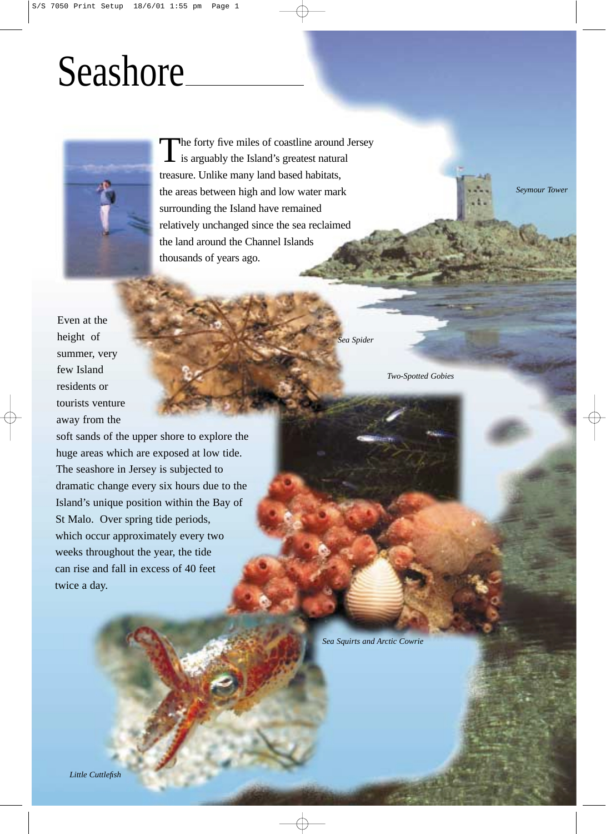## **Seashore**



The forty five miles of coastline around Jersey<br>is arguably the Island's greatest natural treasure. Unlike many land based habitats, the areas between high and low water mark surrounding the Island have remained relatively unchanged since the sea reclaimed the land around the Channel Islands thousands of years ago.

Even at the height of summer, very few Island residents or tourists venture away from the

soft sands of the upper shore to explore the huge areas which are exposed at low tide. The seashore in Jersey is subjected to dramatic change every six hours due to the Island's unique position within the Bay of St Malo. Over spring tide periods, which occur approximately every two weeks throughout the year, the tide can rise and fall in excess of 40 feet twice a day.

*Sea Spider*

*Two-Spotted Gobies*

*Seymour Tower*

*Sea Squirts and Arctic Cowrie*